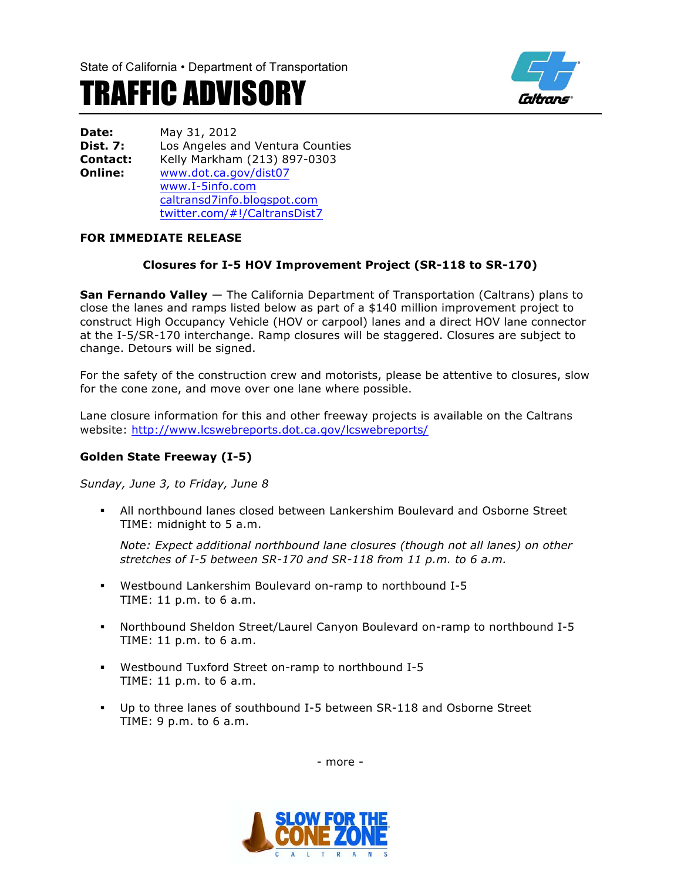

# TRAFFIC ADVISORY

**Date:** May 31, 2012 **Dist. 7:** Los Angeles and Ventura Counties **Contact:** Kelly Markham (213) 897-0303<br>**Online:** www.dot.ca.gov/dist07 **Online:** www.dot.ca.gov/dist07 www.I-5info.com caltransd7info.blogspot.com twitter.com/#!/CaltransDist7

## **FOR IMMEDIATE RELEASE**

# **Closures for I-5 HOV Improvement Project (SR-118 to SR-170)**

**San Fernando Valley** — The California Department of Transportation (Caltrans) plans to close the lanes and ramps listed below as part of a \$140 million improvement project to construct High Occupancy Vehicle (HOV or carpool) lanes and a direct HOV lane connector at the I-5/SR-170 interchange. Ramp closures will be staggered. Closures are subject to change. Detours will be signed.

For the safety of the construction crew and motorists, please be attentive to closures, slow for the cone zone, and move over one lane where possible.

Lane closure information for this and other freeway projects is available on the Caltrans website: http://www.lcswebreports.dot.ca.gov/lcswebreports/

#### **Golden State Freeway (I-5)**

*Sunday, June 3, to Friday, June 8*

§ All northbound lanes closed between Lankershim Boulevard and Osborne Street TIME: midnight to 5 a.m.

*Note: Expect additional northbound lane closures (though not all lanes) on other stretches of I-5 between SR-170 and SR-118 from 11 p.m. to 6 a.m.*

- § Westbound Lankershim Boulevard on-ramp to northbound I-5 TIME: 11 p.m. to 6 a.m.
- § Northbound Sheldon Street/Laurel Canyon Boulevard on-ramp to northbound I-5 TIME: 11 p.m. to 6 a.m.
- § Westbound Tuxford Street on-ramp to northbound I-5 TIME: 11 p.m. to 6 a.m.
- § Up to three lanes of southbound I-5 between SR-118 and Osborne Street TIME: 9 p.m. to 6 a.m.

- more -